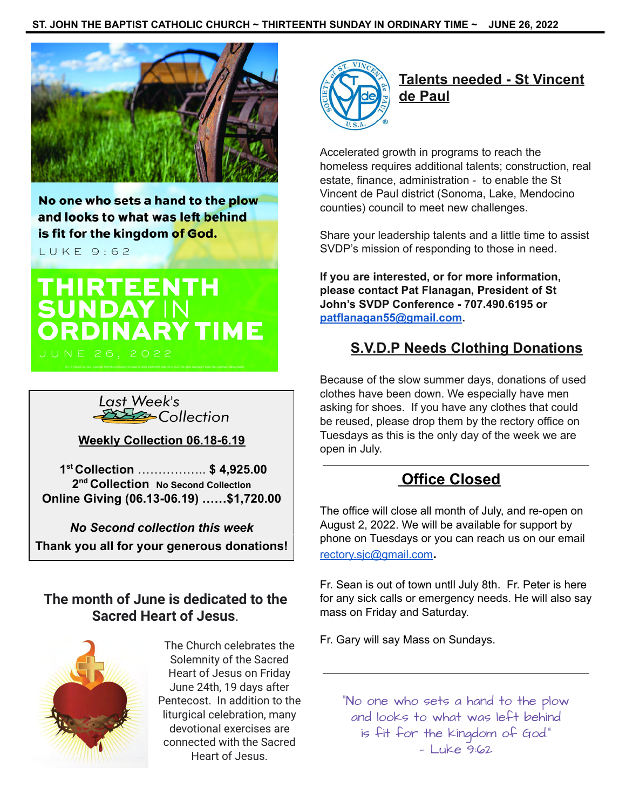

No one who sets a hand to the plow and looks to what was left behind is fit for the kingdom of God.

LUKE 9:62

# **THIRTEENTH<br>SUNDAY IN<br>ORDINARY TIME**



**Weekly Collection 06.18-6.19**

**1 st Collection** …………….. **\$ 4,925.00 2 nd Collection No Second Collection Online Giving (06.13-06.19) ……\$1,720.00**

*No Second collection this week* **Thank you all for your generous donations!**

# **The month of June is dedicated to the Sacred Heart of Jesus**.



The Church celebrates the Solemnity of the Sacred Heart of Jesus on Friday June 24th, 19 days after Pentecost. In addition to the liturgical celebration, many devotional exercises are connected with the Sacred Heart of Jesus.



**Talents needed - St Vincent de Paul**

Accelerated growth in programs to reach the homeless requires additional talents; construction, real estate, finance, administration - to enable the St Vincent de Paul district (Sonoma, Lake, Mendocino counties) council to meet new challenges.

Share your leadership talents and a little time to assist SVDP's mission of responding to those in need.

**If you are interested, or for more information, please contact Pat Flanagan, President of St John's SVDP Conference - 707.490.6195 or [patflanagan55@gmail.com.](mailto:patflanagan55@gmail.com)**

# **S.V.D.P Needs Clothing Donations**

Because of the slow summer days, donations of used clothes have been down. We especially have men asking for shoes. If you have any clothes that could be reused, please drop them by the rectory office on Tuesdays as this is the only day of the week we are open in July.

# **Office Closed**

The office will close all month of July, and re-open on August 2, 2022. We will be available for support by phone on Tuesdays or you can reach us on our email [rectory.sjc@gmail.com](mailto:rectory.sjc@gmail.com)**.**

Fr. Sean is out of town untll July 8th. Fr. Peter is here for any sick calls or emergency needs. He will also say mass on Friday and Saturday.

Fr. Gary will say Mass on Sundays.

"No one who sets a hand to the plow and looks to what was left behind is fit for the kingdom of God." — Luke 9:62